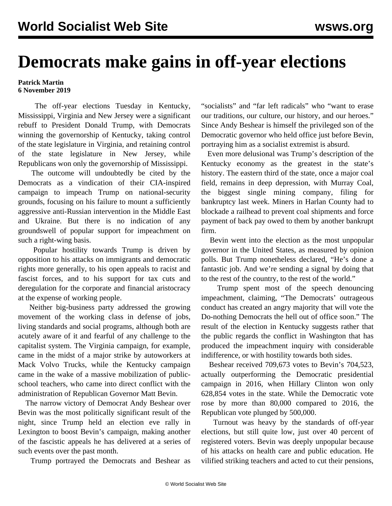## **Democrats make gains in off-year elections**

## **Patrick Martin 6 November 2019**

 The off-year elections Tuesday in Kentucky, Mississippi, Virginia and New Jersey were a significant rebuff to President Donald Trump, with Democrats winning the governorship of Kentucky, taking control of the state legislature in Virginia, and retaining control of the state legislature in New Jersey, while Republicans won only the governorship of Mississippi.

 The outcome will undoubtedly be cited by the Democrats as a vindication of their CIA-inspired campaign to impeach Trump on national-security grounds, focusing on his failure to mount a sufficiently aggressive anti-Russian intervention in the Middle East and Ukraine. But there is no indication of any groundswell of popular support for impeachment on such a right-wing basis.

 Popular hostility towards Trump is driven by opposition to his attacks on immigrants and democratic rights more generally, to his open appeals to racist and fascist forces, and to his support for tax cuts and deregulation for the corporate and financial aristocracy at the expense of working people.

 Neither big-business party addressed the growing movement of the working class in defense of jobs, living standards and social programs, although both are acutely aware of it and fearful of any challenge to the capitalist system. The Virginia campaign, for example, came in the midst of a major strike by autoworkers at Mack Volvo Trucks, while the Kentucky campaign came in the wake of a massive mobilization of publicschool teachers, who came into direct conflict with the administration of Republican Governor Matt Bevin.

 The narrow victory of Democrat Andy Beshear over Bevin was the most politically significant result of the night, since Trump held an election eve rally in Lexington to boost Bevin's campaign, making another of the fascistic appeals he has delivered at a series of such events over the past month.

Trump portrayed the Democrats and Beshear as

"socialists" and "far left radicals" who "want to erase our traditions, our culture, our history, and our heroes." Since Andy Beshear is himself the privileged son of the Democratic governor who held office just before Bevin, portraying him as a socialist extremist is absurd.

 Even more delusional was Trump's description of the Kentucky economy as the greatest in the state's history. The eastern third of the state, once a major coal field, remains in deep depression, with Murray Coal, the biggest single mining company, filing for bankruptcy last week. Miners in Harlan County had to blockade a railhead to prevent coal shipments and force payment of back pay owed to them by another bankrupt firm.

 Bevin went into the election as the most unpopular governor in the United States, as measured by opinion polls. But Trump nonetheless declared, "He's done a fantastic job. And we're sending a signal by doing that to the rest of the country, to the rest of the world."

 Trump spent most of the speech denouncing impeachment, claiming, "The Democrats' outrageous conduct has created an angry majority that will vote the Do-nothing Democrats the hell out of office soon." The result of the election in Kentucky suggests rather that the public regards the conflict in Washington that has produced the impeachment inquiry with considerable indifference, or with hostility towards both sides.

 Beshear received 709,673 votes to Bevin's 704,523, actually outperforming the Democratic presidential campaign in 2016, when Hillary Clinton won only 628,854 votes in the state. While the Democratic vote rose by more than 80,000 compared to 2016, the Republican vote plunged by 500,000.

 Turnout was heavy by the standards of off-year elections, but still quite low, just over 40 percent of registered voters. Bevin was deeply unpopular because of his attacks on health care and public education. He vilified striking teachers and acted to cut their pensions,